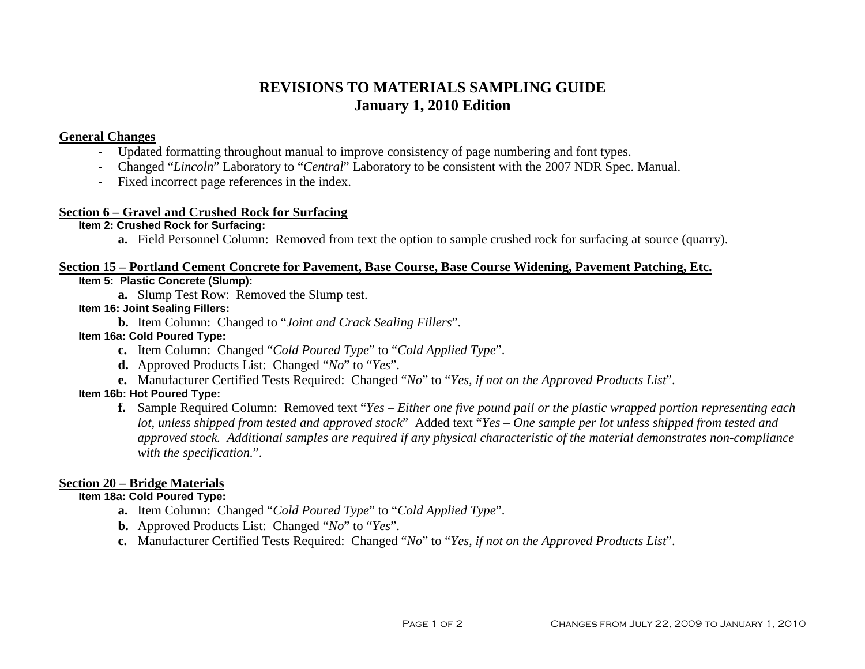# **REVISIONS TO MATERIALS SAMPLING GUIDE January 1, 2010 Edition**

# **General Changes**

- Updated formatting throughout manual to improve consistency of page numbering and font types.
- Changed "*Lincoln*" Laboratory to "*Central*" Laboratory to be consistent with the 2007 NDR Spec. Manual.
- Fixed incorrect page references in the index.

# **Section 6 – Gravel and Crushed Rock for Surfacing**

# **Item 2: Crushed Rock for Surfacing:**

**a.** Field Personnel Column: Removed from text the option to sample crushed rock for surfacing at source (quarry).

# **Section 15 – Portland Cement Concrete for Pavement, Base Course, Base Course Widening, Pavement Patching, Etc.**

# **Item 5: Plastic Concrete (Slump):**

**a.** Slump Test Row: Removed the Slump test.

# **Item 16: Joint Sealing Fillers:**

**b.** Item Column: Changed to "*Joint and Crack Sealing Fillers*".

# **Item 16a: Cold Poured Type:**

- **c.** Item Column: Changed "*Cold Poured Type*" to "*Cold Applied Type*".
- **d.** Approved Products List: Changed "*No*" to "*Yes*".
- **e.** Manufacturer Certified Tests Required: Changed "*No*" to "*Yes, if not on the Approved Products List*".

# **Item 16b: Hot Poured Type:**

**f.** Sample Required Column: Removed text "*Yes – Either one five pound pail or the plastic wrapped portion representing each lot, unless shipped from tested and approved stock*" Added text "*Yes – One sample per lot unless shipped from tested and approved stock. Additional samples are required if any physical characteristic of the material demonstrates non-compliance with the specification.*".

# **Section 20 – Bridge Materials**

# **Item 18a: Cold Poured Type:**

- **a.** Item Column: Changed "*Cold Poured Type*" to "*Cold Applied Type*".
- **b.** Approved Products List: Changed "*No*" to "*Yes*".
- **c.** Manufacturer Certified Tests Required: Changed "*No*" to "*Yes, if not on the Approved Products List*".